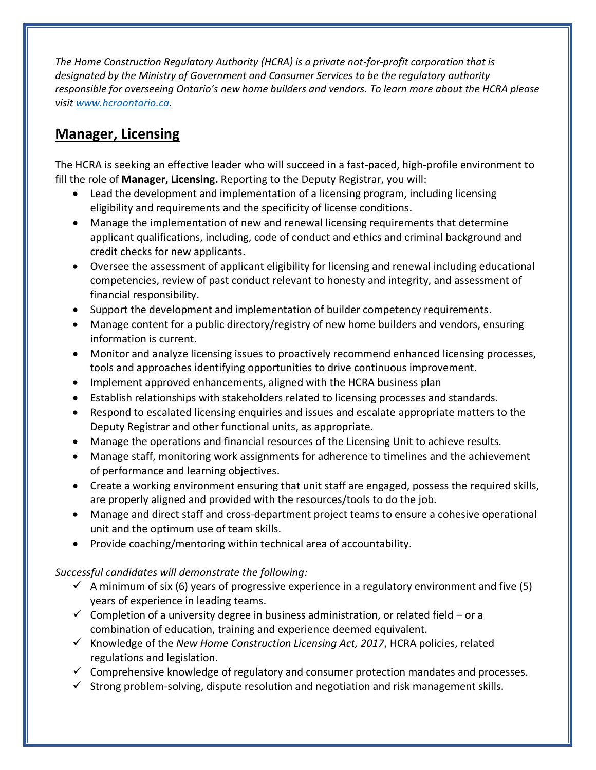*The Home Construction Regulatory Authority (HCRA) is a private not-for-profit corporation that is designated by the Ministry of Government and Consumer Services to be the regulatory authority responsible for overseeing Ontario's new home builders and vendors. To learn more about the HCRA please visit [www.hcraontario.ca.](http://www.hcraontario.ca/)*

## **Manager, Licensing**

The HCRA is seeking an effective leader who will succeed in a fast-paced, high-profile environment to fill the role of **Manager, Licensing.** Reporting to the Deputy Registrar, you will:

- Lead the development and implementation of a licensing program, including licensing eligibility and requirements and the specificity of license conditions.
- Manage the implementation of new and renewal licensing requirements that determine applicant qualifications, including, code of conduct and ethics and criminal background and credit checks for new applicants.
- Oversee the assessment of applicant eligibility for licensing and renewal including educational competencies, review of past conduct relevant to honesty and integrity, and assessment of financial responsibility.
- Support the development and implementation of builder competency requirements.
- Manage content for a public directory/registry of new home builders and vendors, ensuring information is current.
- Monitor and analyze licensing issues to proactively recommend enhanced licensing processes, tools and approaches identifying opportunities to drive continuous improvement.
- Implement approved enhancements, aligned with the HCRA business plan
- Establish relationships with stakeholders related to licensing processes and standards.
- Respond to escalated licensing enquiries and issues and escalate appropriate matters to the Deputy Registrar and other functional units, as appropriate.
- Manage the operations and financial resources of the Licensing Unit to achieve results.
- Manage staff, monitoring work assignments for adherence to timelines and the achievement of performance and learning objectives.
- Create a working environment ensuring that unit staff are engaged, possess the required skills, are properly aligned and provided with the resources/tools to do the job.
- Manage and direct staff and cross-department project teams to ensure a cohesive operational unit and the optimum use of team skills.
- Provide coaching/mentoring within technical area of accountability.

*Successful candidates will demonstrate the following:*

- $\checkmark$  A minimum of six (6) years of progressive experience in a regulatory environment and five (5) years of experience in leading teams.
- $\checkmark$  Completion of a university degree in business administration, or related field or a combination of education, training and experience deemed equivalent.
- ✓ Knowledge of the *New Home Construction Licensing Act, 2017*, HCRA policies, related regulations and legislation.
- $\checkmark$  Comprehensive knowledge of regulatory and consumer protection mandates and processes.
- $\checkmark$  Strong problem-solving, dispute resolution and negotiation and risk management skills.